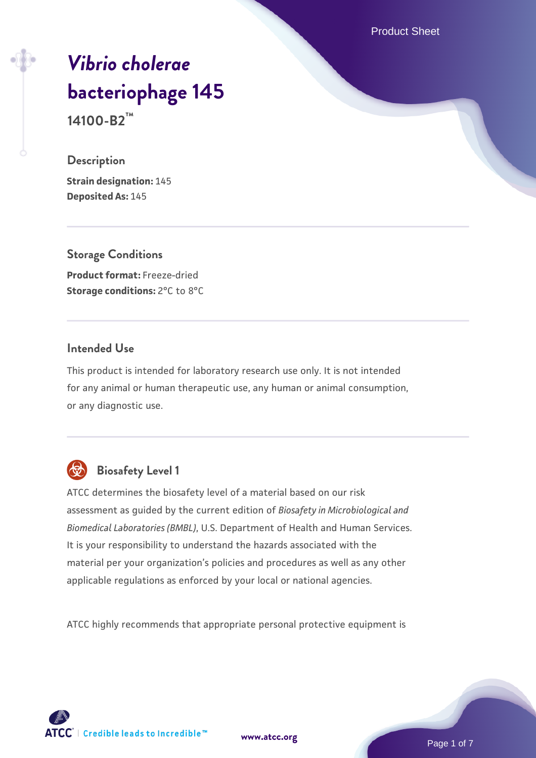Product Sheet

# *[Vibrio cholerae](https://www.atcc.org/products/14100-b2)* **[bacteriophage 145](https://www.atcc.org/products/14100-b2) 14100-B2™**

#### **Description**

**Strain designation:** 145 **Deposited As:** 145

**Storage Conditions Product format:** Freeze-dried **Storage conditions: 2°C to 8°C** 

# **Intended Use**

This product is intended for laboratory research use only. It is not intended for any animal or human therapeutic use, any human or animal consumption, or any diagnostic use.



# **Biosafety Level 1**

ATCC determines the biosafety level of a material based on our risk assessment as guided by the current edition of *Biosafety in Microbiological and Biomedical Laboratories (BMBL)*, U.S. Department of Health and Human Services. It is your responsibility to understand the hazards associated with the material per your organization's policies and procedures as well as any other applicable regulations as enforced by your local or national agencies.

ATCC highly recommends that appropriate personal protective equipment is



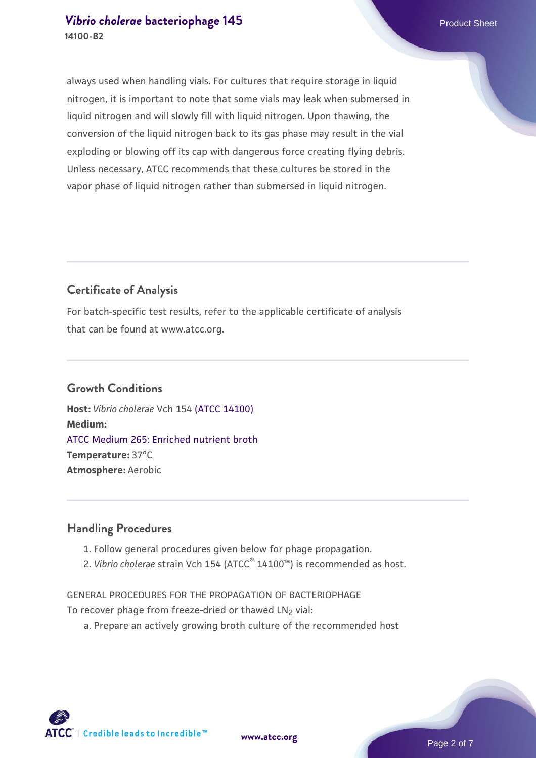## *[Vibrio cholerae](https://www.atcc.org/products/14100-b2)* [bacteriophage 145](https://www.atcc.org/products/14100-b2) **Product Sheet** Product Sheet **14100-B2**

always used when handling vials. For cultures that require storage in liquid nitrogen, it is important to note that some vials may leak when submersed in liquid nitrogen and will slowly fill with liquid nitrogen. Upon thawing, the conversion of the liquid nitrogen back to its gas phase may result in the vial exploding or blowing off its cap with dangerous force creating flying debris. Unless necessary, ATCC recommends that these cultures be stored in the vapor phase of liquid nitrogen rather than submersed in liquid nitrogen.

# **Certificate of Analysis**

For batch-specific test results, refer to the applicable certificate of analysis that can be found at www.atcc.org.

# **Growth Conditions**

**Host:** *Vibrio cholerae* Vch 154 [\(ATCC 14100\)](https://www.atcc.org/products/14100) **Medium:**  [ATCC Medium 265: Enriched nutrient broth](https://www.atcc.org/-/media/product-assets/documents/microbial-media-formulations/2/6/5/atcc-medium-265.pdf?rev=b40563dfaebd47608487186aaeb531c8) **Temperature:** 37°C **Atmosphere:** Aerobic

#### **Handling Procedures**

- 1. Follow general procedures given below for phage propagation.
- 2. Vibrio cholerae strain Vch 154 (ATCC<sup>®</sup> 14100™) is recommended as host.

GENERAL PROCEDURES FOR THE PROPAGATION OF BACTERIOPHAGE To recover phage from freeze-dried or thawed LN<sub>2</sub> vial:

a. Prepare an actively growing broth culture of the recommended host

**[www.atcc.org](http://www.atcc.org)**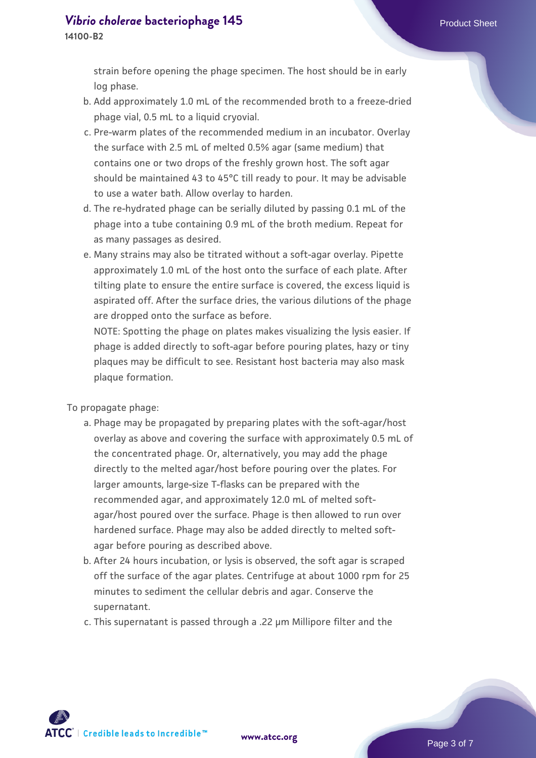# *[Vibrio cholerae](https://www.atcc.org/products/14100-b2)* [bacteriophage 145](https://www.atcc.org/products/14100-b2) **Product Sheet** Product Sheet

**14100-B2**

strain before opening the phage specimen. The host should be in early log phase.

- b. Add approximately 1.0 mL of the recommended broth to a freeze-dried phage vial, 0.5 mL to a liquid cryovial.
- c. Pre-warm plates of the recommended medium in an incubator. Overlay the surface with 2.5 mL of melted 0.5% agar (same medium) that contains one or two drops of the freshly grown host. The soft agar should be maintained 43 to 45°C till ready to pour. It may be advisable to use a water bath. Allow overlay to harden.
- d. The re-hydrated phage can be serially diluted by passing 0.1 mL of the phage into a tube containing 0.9 mL of the broth medium. Repeat for as many passages as desired.
- e. Many strains may also be titrated without a soft-agar overlay. Pipette approximately 1.0 mL of the host onto the surface of each plate. After tilting plate to ensure the entire surface is covered, the excess liquid is aspirated off. After the surface dries, the various dilutions of the phage are dropped onto the surface as before.

NOTE: Spotting the phage on plates makes visualizing the lysis easier. If phage is added directly to soft-agar before pouring plates, hazy or tiny plaques may be difficult to see. Resistant host bacteria may also mask plaque formation.

To propagate phage:

- a. Phage may be propagated by preparing plates with the soft-agar/host overlay as above and covering the surface with approximately 0.5 mL of the concentrated phage. Or, alternatively, you may add the phage directly to the melted agar/host before pouring over the plates. For larger amounts, large-size T-flasks can be prepared with the recommended agar, and approximately 12.0 mL of melted softagar/host poured over the surface. Phage is then allowed to run over hardened surface. Phage may also be added directly to melted softagar before pouring as described above.
- b. After 24 hours incubation, or lysis is observed, the soft agar is scraped off the surface of the agar plates. Centrifuge at about 1000 rpm for 25 minutes to sediment the cellular debris and agar. Conserve the supernatant.
- c. This supernatant is passed through a .22 µm Millipore filter and the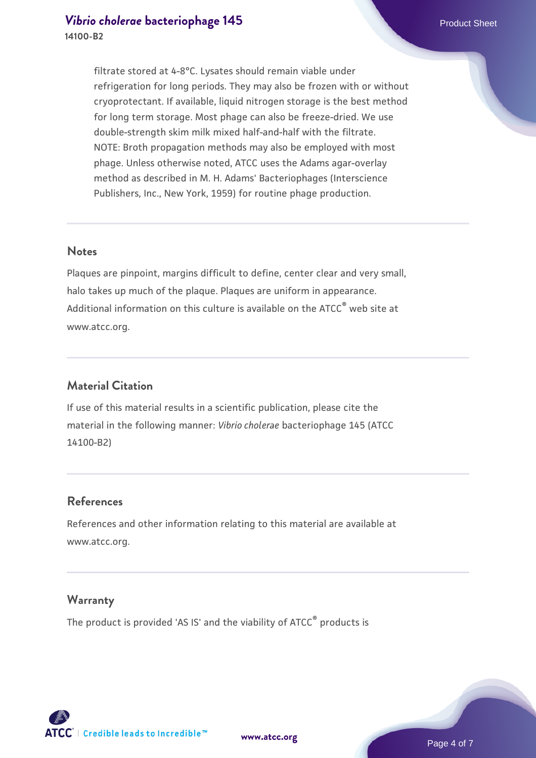filtrate stored at 4-8°C. Lysates should remain viable under refrigeration for long periods. They may also be frozen with or without cryoprotectant. If available, liquid nitrogen storage is the best method for long term storage. Most phage can also be freeze-dried. We use double-strength skim milk mixed half-and-half with the filtrate. NOTE: Broth propagation methods may also be employed with most phage. Unless otherwise noted, ATCC uses the Adams agar-overlay method as described in M. H. Adams' Bacteriophages (Interscience Publishers, Inc., New York, 1959) for routine phage production.

#### **Notes**

Plaques are pinpoint, margins difficult to define, center clear and very small, halo takes up much of the plaque. Plaques are uniform in appearance. Additional information on this culture is available on the ATCC<sup>®</sup> web site at www.atcc.org.

#### **Material Citation**

If use of this material results in a scientific publication, please cite the material in the following manner: *Vibrio cholerae* bacteriophage 145 (ATCC 14100-B2)

#### **References**

References and other information relating to this material are available at www.atcc.org.

#### **Warranty**

The product is provided 'AS IS' and the viability of ATCC<sup>®</sup> products is





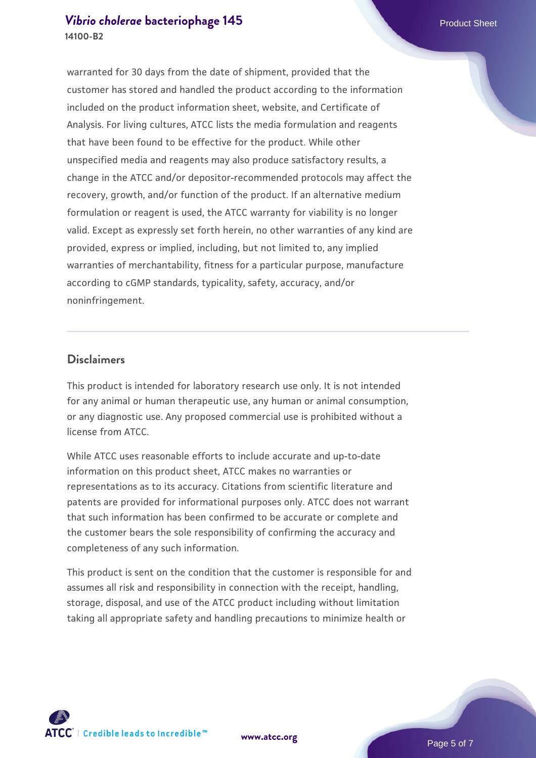#### *[Vibrio cholerae](https://www.atcc.org/products/14100-b2)* [bacteriophage 145](https://www.atcc.org/products/14100-b2) **Product Sheet** Product Sheet **14100-B2**

warranted for 30 days from the date of shipment, provided that the customer has stored and handled the product according to the information included on the product information sheet, website, and Certificate of Analysis. For living cultures, ATCC lists the media formulation and reagents that have been found to be effective for the product. While other unspecified media and reagents may also produce satisfactory results, a change in the ATCC and/or depositor-recommended protocols may affect the recovery, growth, and/or function of the product. If an alternative medium formulation or reagent is used, the ATCC warranty for viability is no longer valid. Except as expressly set forth herein, no other warranties of any kind are provided, express or implied, including, but not limited to, any implied warranties of merchantability, fitness for a particular purpose, manufacture according to cGMP standards, typicality, safety, accuracy, and/or noninfringement.

#### **Disclaimers**

This product is intended for laboratory research use only. It is not intended for any animal or human therapeutic use, any human or animal consumption, or any diagnostic use. Any proposed commercial use is prohibited without a license from ATCC.

While ATCC uses reasonable efforts to include accurate and up-to-date information on this product sheet, ATCC makes no warranties or representations as to its accuracy. Citations from scientific literature and patents are provided for informational purposes only. ATCC does not warrant that such information has been confirmed to be accurate or complete and the customer bears the sole responsibility of confirming the accuracy and completeness of any such information.

This product is sent on the condition that the customer is responsible for and assumes all risk and responsibility in connection with the receipt, handling, storage, disposal, and use of the ATCC product including without limitation taking all appropriate safety and handling precautions to minimize health or



**[www.atcc.org](http://www.atcc.org)**

Page 5 of 7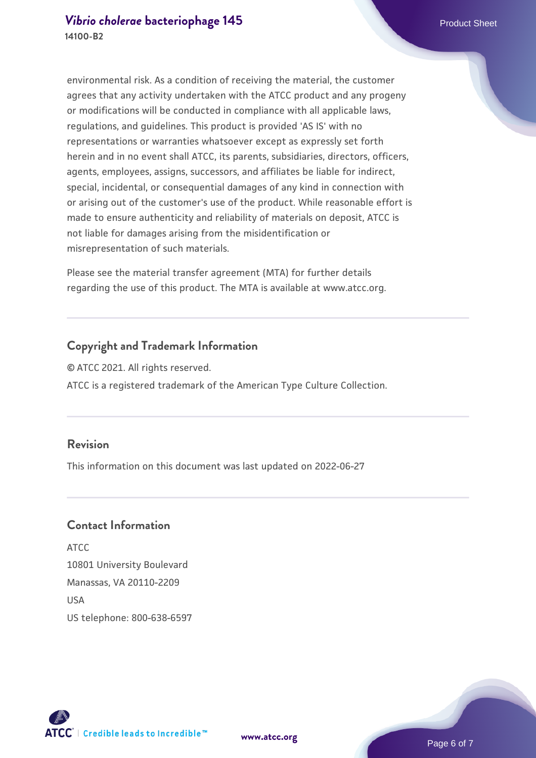environmental risk. As a condition of receiving the material, the customer agrees that any activity undertaken with the ATCC product and any progeny or modifications will be conducted in compliance with all applicable laws, regulations, and guidelines. This product is provided 'AS IS' with no representations or warranties whatsoever except as expressly set forth herein and in no event shall ATCC, its parents, subsidiaries, directors, officers, agents, employees, assigns, successors, and affiliates be liable for indirect, special, incidental, or consequential damages of any kind in connection with or arising out of the customer's use of the product. While reasonable effort is made to ensure authenticity and reliability of materials on deposit, ATCC is not liable for damages arising from the misidentification or misrepresentation of such materials.

Please see the material transfer agreement (MTA) for further details regarding the use of this product. The MTA is available at www.atcc.org.

# **Copyright and Trademark Information**

© ATCC 2021. All rights reserved. ATCC is a registered trademark of the American Type Culture Collection.

## **Revision**

This information on this document was last updated on 2022-06-27

## **Contact Information**

ATCC 10801 University Boulevard Manassas, VA 20110-2209 **IISA** US telephone: 800-638-6597